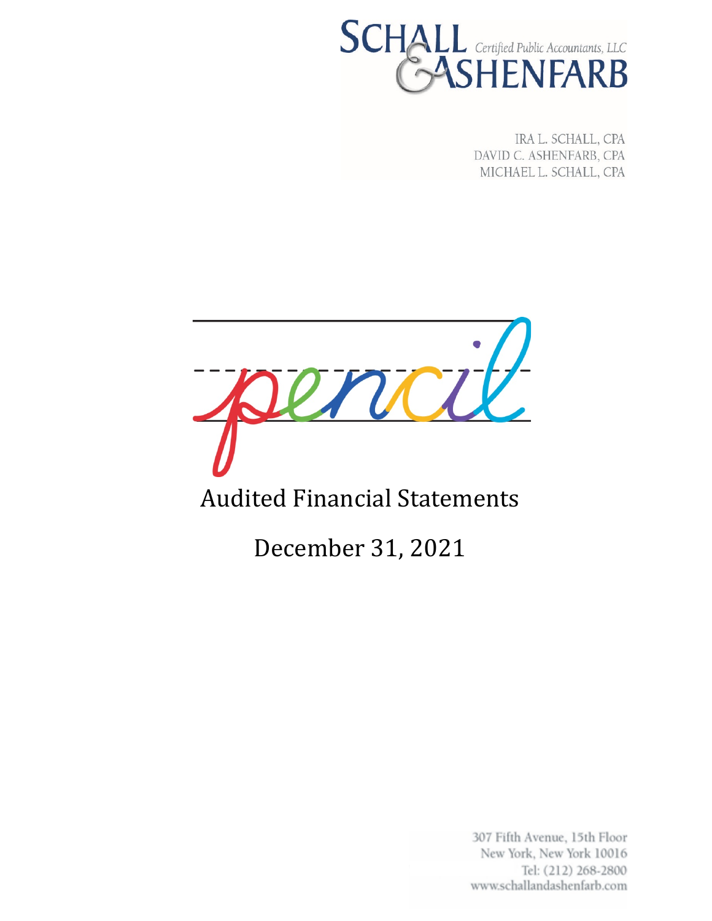

IRA L. SCHALL, CPA DAVID C. ASHENFARB, CPA MICHAEL L. SCHALL, CPA

oncu Audited Financial Statements December 31, 2021

307 Fifth Avenue, 15th Floor New York, New York 10016 Tel: (212) 268-2800 www.schallandashenfarb.com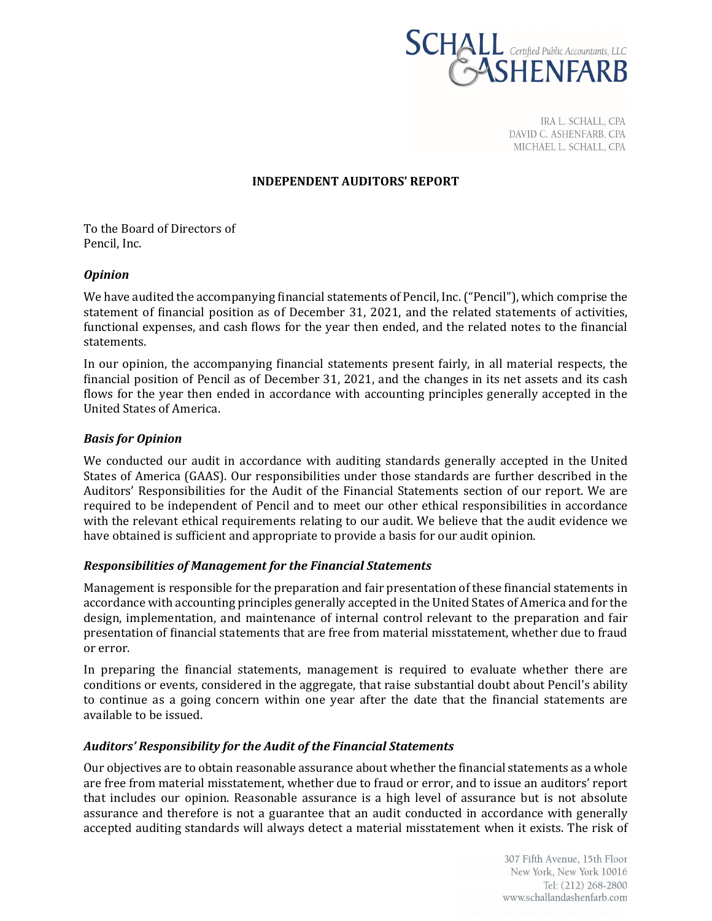

IRA L. SCHALL, CPA DAVID C. ASHENFARB, CPA MICHAEL L. SCHALL, CPA

#### **INDEPENDENT AUDITORS' REPORT**

To the Board of Directors of Pencil, Inc.

### *Opinion*

We have audited the accompanying financial statements of Pencil, Inc. ("Pencil"), which comprise the statement of financial position as of December 31, 2021, and the related statements of activities, functional expenses, and cash flows for the year then ended, and the related notes to the financial statements.

In our opinion, the accompanying financial statements present fairly, in all material respects, the financial position of Pencil as of December 31, 2021, and the changes in its net assets and its cash flows for the year then ended in accordance with accounting principles generally accepted in the United States of America.

### *Basis for Opinion*

We conducted our audit in accordance with auditing standards generally accepted in the United States of America (GAAS). Our responsibilities under those standards are further described in the Auditors' Responsibilities for the Audit of the Financial Statements section of our report. We are required to be independent of Pencil and to meet our other ethical responsibilities in accordance with the relevant ethical requirements relating to our audit. We believe that the audit evidence we have obtained is sufficient and appropriate to provide a basis for our audit opinion.

### *Responsibilities of Management for the Financial Statements*

Management is responsible for the preparation and fair presentation of these financial statements in accordance with accounting principles generally accepted in the United States of America and for the design, implementation, and maintenance of internal control relevant to the preparation and fair presentation of financial statements that are free from material misstatement, whether due to fraud or error.

In preparing the financial statements, management is required to evaluate whether there are conditions or events, considered in the aggregate, that raise substantial doubt about Pencil's ability to continue as a going concern within one year after the date that the financial statements are available to be issued.

### *Auditors' Responsibility for the Audit of the Financial Statements*

Our objectives are to obtain reasonable assurance about whether the financial statements as a whole are free from material misstatement, whether due to fraud or error, and to issue an auditors' report that includes our opinion. Reasonable assurance is a high level of assurance but is not absolute assurance and therefore is not a guarantee that an audit conducted in accordance with generally accepted auditing standards will always detect a material misstatement when it exists. The risk of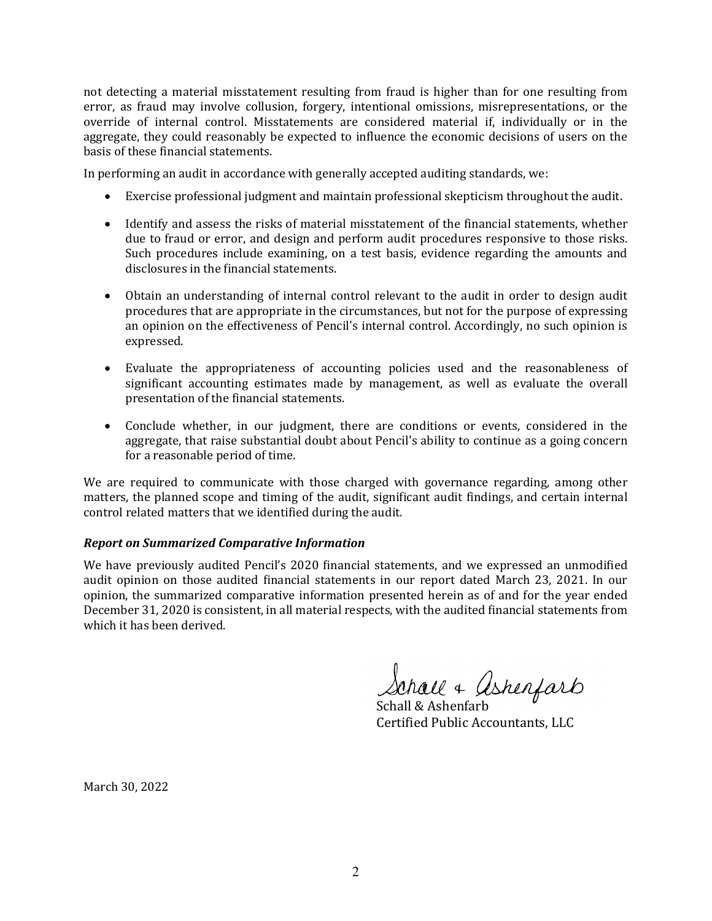not detecting a material misstatement resulting from fraud is higher than for one resulting from error, as fraud may involve collusion, forgery, intentional omissions, misrepresentations, or the override of internal control. Misstatements are considered material if, individually or in the aggregate, they could reasonably be expected to influence the economic decisions of users on the basis of these financial statements.

In performing an audit in accordance with generally accepted auditing standards, we:

- Exercise professional judgment and maintain professional skepticism throughout the audit.
- Identify and assess the risks of material misstatement of the financial statements, whether due to fraud or error, and design and perform audit procedures responsive to those risks. Such procedures include examining, on a test basis, evidence regarding the amounts and disclosures in the financial statements.
- Obtain an understanding of internal control relevant to the audit in order to design audit procedures that are appropriate in the circumstances, but not for the purpose of expressing an opinion on the effectiveness of Pencil's internal control. Accordingly, no such opinion is expressed.
- Evaluate the appropriateness of accounting policies used and the reasonableness of significant accounting estimates made by management, as well as evaluate the overall presentation of the financial statements.
- Conclude whether, in our judgment, there are conditions or events, considered in the aggregate, that raise substantial doubt about Pencil's ability to continue as a going concern for a reasonable period of time.

We are required to communicate with those charged with governance regarding, among other matters, the planned scope and timing of the audit, significant audit findings, and certain internal control related matters that we identified during the audit.

## *Report on Summarized Comparative Information*

We have previously audited Pencil's 2020 financial statements, and we expressed an unmodified audit opinion on those audited financial statements in our report dated March 23, 2021. In our opinion, the summarized comparative information presented herein as of and for the year ended December 31, 2020 is consistent, in all material respects, with the audited financial statements from which it has been derived.

Schall & Ashenfarb

Certified Public Accountants, LLC

March 30, 2022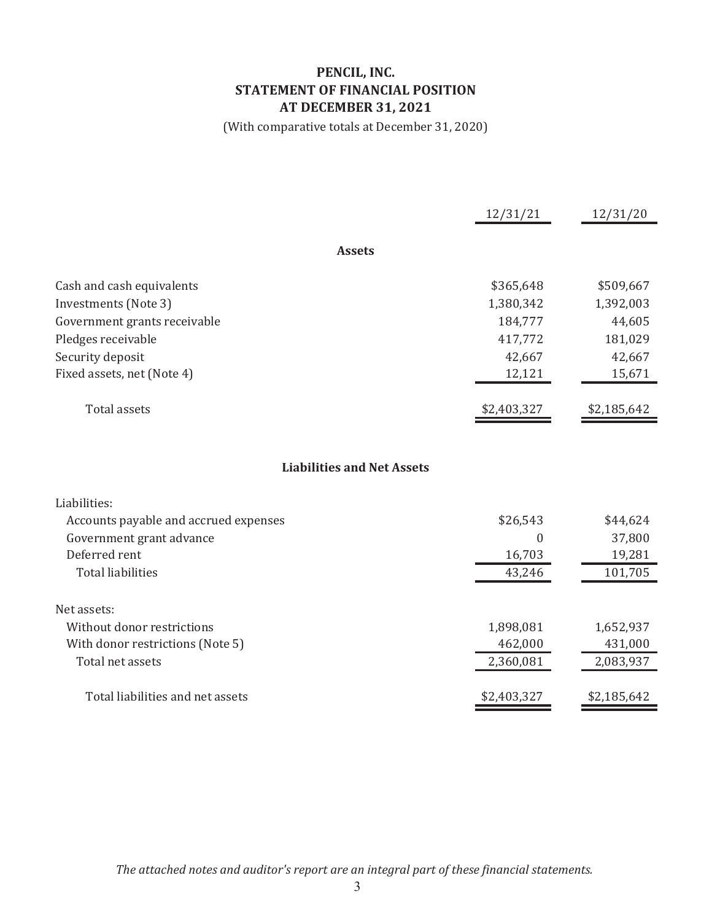# **PENCIL, INC. STATEMENT OF FINANCIAL POSITION AT DECEMBER 31, 2021**

(With comparative totals at December 31, 2020)

|                                       | 12/31/21    | 12/31/20    |
|---------------------------------------|-------------|-------------|
| <b>Assets</b>                         |             |             |
| Cash and cash equivalents             | \$365,648   | \$509,667   |
| Investments (Note 3)                  | 1,380,342   | 1,392,003   |
| Government grants receivable          | 184,777     | 44,605      |
| Pledges receivable                    | 417,772     | 181,029     |
| Security deposit                      | 42,667      | 42,667      |
| Fixed assets, net (Note 4)            | 12,121      | 15,671      |
| <b>Total assets</b>                   | \$2,403,327 | \$2,185,642 |
| <b>Liabilities and Net Assets</b>     |             |             |
| Liabilities:                          |             |             |
| Accounts payable and accrued expenses | \$26,543    | \$44,624    |
| Government grant advance              | 0           | 37,800      |
| Deferred rent                         | 16,703      | 19,281      |
| <b>Total liabilities</b>              | 43,246      | 101,705     |
| Net assets:                           |             |             |
| Without donor restrictions            | 1,898,081   | 1,652,937   |
| With donor restrictions (Note 5)      | 462,000     | 431,000     |
| Total net assets                      | 2,360,081   | 2,083,937   |
| Total liabilities and net assets      | \$2,403,327 | \$2,185,642 |

*The attached notes and auditor's report are an integral part of these financial statements.*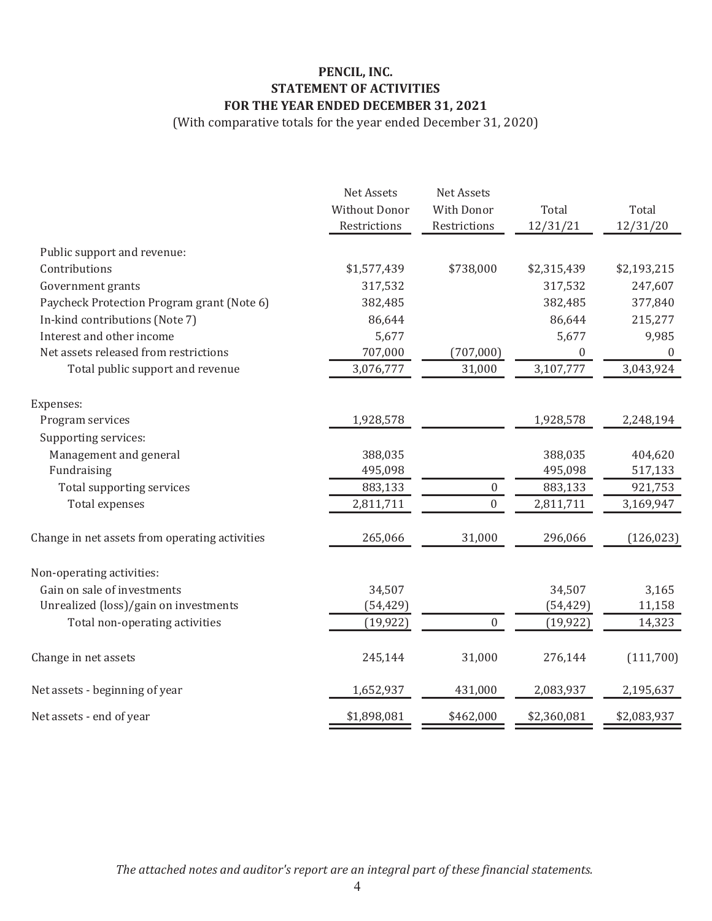# **PENCIL, INC. STATEMENT OF ACTIVITIES FOR THE YEAR ENDED DECEMBER 31, 2021**

(With comparative totals for the year ended December 31, 2020)

|                                                | <b>Net Assets</b><br>Without Donor | Net Assets<br>With Donor | Total            | Total          |
|------------------------------------------------|------------------------------------|--------------------------|------------------|----------------|
|                                                | Restrictions                       | Restrictions             | 12/31/21         | 12/31/20       |
| Public support and revenue:                    |                                    |                          |                  |                |
| Contributions                                  | \$1,577,439                        | \$738,000                | \$2,315,439      | \$2,193,215    |
| Government grants                              | 317,532                            |                          | 317,532          | 247,607        |
| Paycheck Protection Program grant (Note 6)     | 382,485                            |                          | 382,485          | 377,840        |
| In-kind contributions (Note 7)                 | 86,644                             |                          | 86,644           | 215,277        |
| Interest and other income                      | 5,677                              |                          | 5,677            | 9,985          |
| Net assets released from restrictions          | 707,000                            | (707,000)                | $\boldsymbol{0}$ | $\overline{0}$ |
| Total public support and revenue               | 3,076,777                          | 31,000                   | 3,107,777        | 3,043,924      |
| Expenses:                                      |                                    |                          |                  |                |
| Program services                               | 1,928,578                          |                          | 1,928,578        | 2,248,194      |
| Supporting services:                           |                                    |                          |                  |                |
| Management and general                         | 388,035                            |                          | 388,035          | 404,620        |
| Fundraising                                    | 495,098                            |                          | 495,098          | 517,133        |
| Total supporting services                      | 883,133                            | $\boldsymbol{0}$         | 883,133          | 921,753        |
| Total expenses                                 | 2,811,711                          | $\boldsymbol{0}$         | 2,811,711        | 3,169,947      |
| Change in net assets from operating activities | 265,066                            | 31,000                   | 296,066          | (126, 023)     |
| Non-operating activities:                      |                                    |                          |                  |                |
| Gain on sale of investments                    | 34,507                             |                          | 34,507           | 3,165          |
| Unrealized (loss)/gain on investments          | (54, 429)                          |                          | (54, 429)        | 11,158         |
| Total non-operating activities                 | (19, 922)                          | $\boldsymbol{0}$         | (19, 922)        | 14,323         |
| Change in net assets                           | 245,144                            | 31,000                   | 276,144          | (111,700)      |
| Net assets - beginning of year                 | 1,652,937                          | 431,000                  | 2,083,937        | 2,195,637      |
| Net assets - end of year                       | \$1,898,081                        | \$462,000                | \$2,360,081      | \$2,083,937    |

*The attached notes and auditor's report are an integral part of these financial statements.*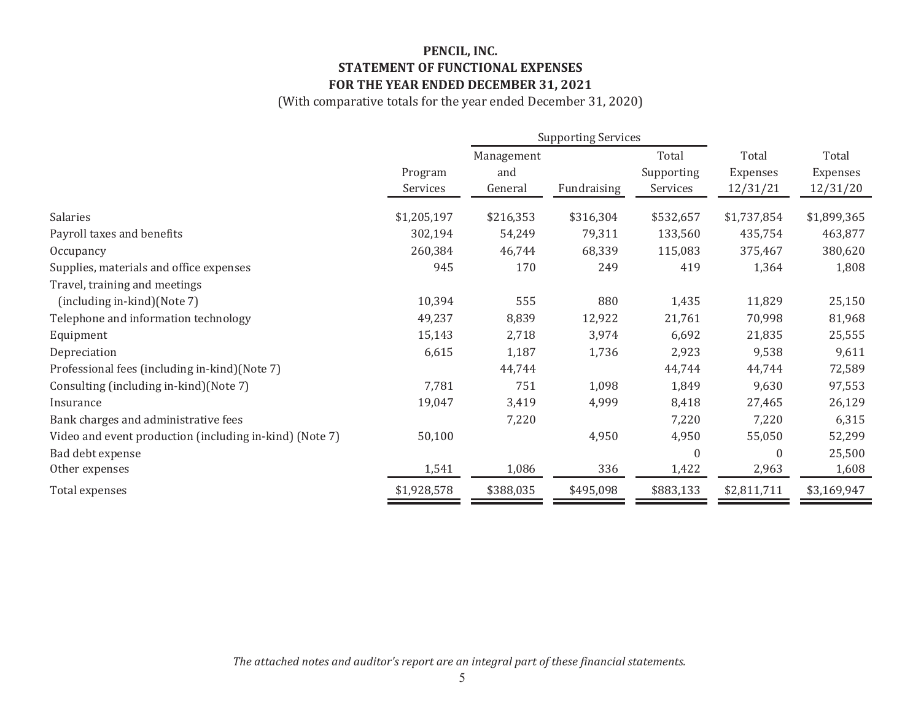## **PENCIL, INC. STATEMENT OF FUNCTIONAL EXPENSES FOR THE YEAR ENDED DECEMBER 31, 2021**

(With comparative totals for the year ended December 31, 2020)

|                                                         | <b>Supporting Services</b> |            |             |            |              |             |
|---------------------------------------------------------|----------------------------|------------|-------------|------------|--------------|-------------|
|                                                         |                            | Management |             | Total      | Total        | Total       |
|                                                         | Program                    | and        |             | Supporting | Expenses     | Expenses    |
|                                                         | Services                   | General    | Fundraising | Services   | 12/31/21     | 12/31/20    |
| Salaries                                                | \$1,205,197                | \$216,353  | \$316,304   | \$532,657  | \$1,737,854  | \$1,899,365 |
| Payroll taxes and benefits                              | 302,194                    | 54,249     | 79,311      | 133,560    | 435,754      | 463,877     |
| Occupancy                                               | 260,384                    | 46,744     | 68,339      | 115,083    | 375,467      | 380,620     |
| Supplies, materials and office expenses                 | 945                        | 170        | 249         | 419        | 1,364        | 1,808       |
| Travel, training and meetings                           |                            |            |             |            |              |             |
| (including in-kind)(Note 7)                             | 10,394                     | 555        | 880         | 1,435      | 11,829       | 25,150      |
| Telephone and information technology                    | 49,237                     | 8,839      | 12,922      | 21,761     | 70,998       | 81,968      |
| Equipment                                               | 15,143                     | 2,718      | 3,974       | 6,692      | 21,835       | 25,555      |
| Depreciation                                            | 6,615                      | 1,187      | 1,736       | 2,923      | 9,538        | 9,611       |
| Professional fees (including in-kind)(Note 7)           |                            | 44,744     |             | 44,744     | 44,744       | 72,589      |
| Consulting (including in-kind) (Note 7)                 | 7,781                      | 751        | 1,098       | 1,849      | 9,630        | 97,553      |
| Insurance                                               | 19,047                     | 3,419      | 4,999       | 8,418      | 27,465       | 26,129      |
| Bank charges and administrative fees                    |                            | 7,220      |             | 7,220      | 7,220        | 6,315       |
| Video and event production (including in-kind) (Note 7) | 50,100                     |            | 4,950       | 4,950      | 55,050       | 52,299      |
| Bad debt expense                                        |                            |            |             | $\Omega$   | $\mathbf{0}$ | 25,500      |
| Other expenses                                          | 1,541                      | 1,086      | 336         | 1,422      | 2,963        | 1,608       |
| Total expenses                                          | \$1,928,578                | \$388,035  | \$495,098   | \$883,133  | \$2,811,711  | \$3,169,947 |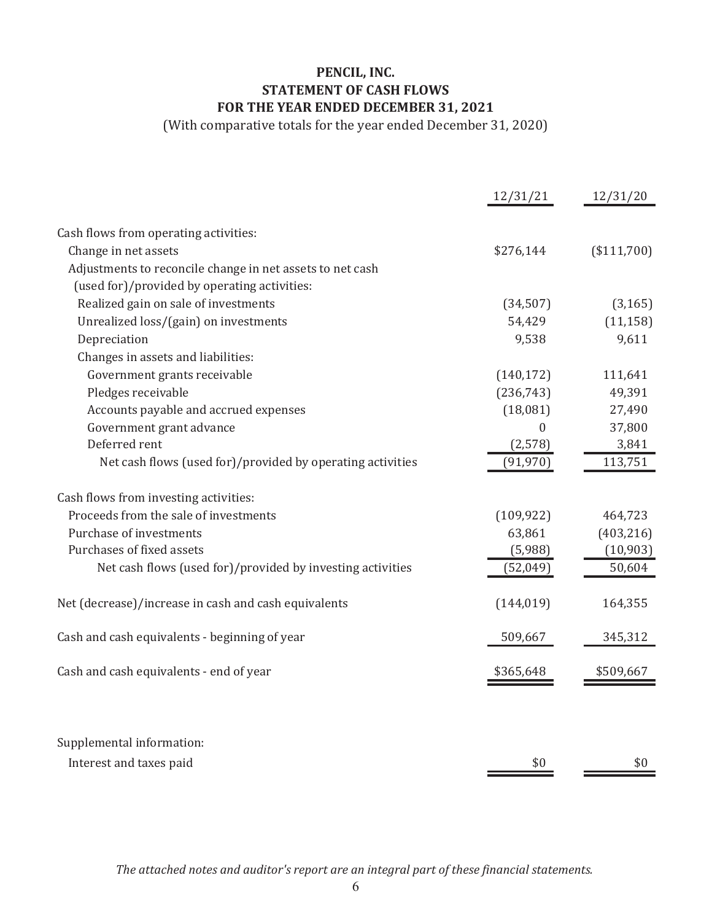# **PENCIL, INC. STATEMENT OF CASH FLOWS FOR THE YEAR ENDED DECEMBER 31, 2021**

(With comparative totals for the year ended December 31, 2020)

|                                                            | 12/31/21   | 12/31/20    |
|------------------------------------------------------------|------------|-------------|
|                                                            |            |             |
| Cash flows from operating activities:                      |            |             |
| Change in net assets                                       | \$276,144  | (\$111,700) |
| Adjustments to reconcile change in net assets to net cash  |            |             |
| (used for)/provided by operating activities:               |            |             |
| Realized gain on sale of investments                       | (34, 507)  | (3, 165)    |
| Unrealized loss/(gain) on investments                      | 54,429     | (11, 158)   |
| Depreciation                                               | 9,538      | 9,611       |
| Changes in assets and liabilities:                         |            |             |
| Government grants receivable                               | (140, 172) | 111,641     |
| Pledges receivable                                         | (236, 743) | 49,391      |
| Accounts payable and accrued expenses                      | (18,081)   | 27,490      |
| Government grant advance                                   | 0          | 37,800      |
| Deferred rent                                              | (2,578)    | 3,841       |
| Net cash flows (used for)/provided by operating activities | (91, 970)  | 113,751     |
| Cash flows from investing activities:                      |            |             |
| Proceeds from the sale of investments                      | (109, 922) | 464,723     |
| Purchase of investments                                    | 63,861     | (403, 216)  |
| Purchases of fixed assets                                  | (5,988)    | (10, 903)   |
| Net cash flows (used for)/provided by investing activities | (52,049)   | 50,604      |
| Net (decrease)/increase in cash and cash equivalents       | (144, 019) | 164,355     |
| Cash and cash equivalents - beginning of year              | 509,667    | 345,312     |
| Cash and cash equivalents - end of year                    | \$365,648  | \$509,667   |
| Supplemental information:                                  |            |             |
| Interest and taxes paid                                    | \$0        | \$0         |

*The attached notes and auditor's report are an integral part of these financial statements.*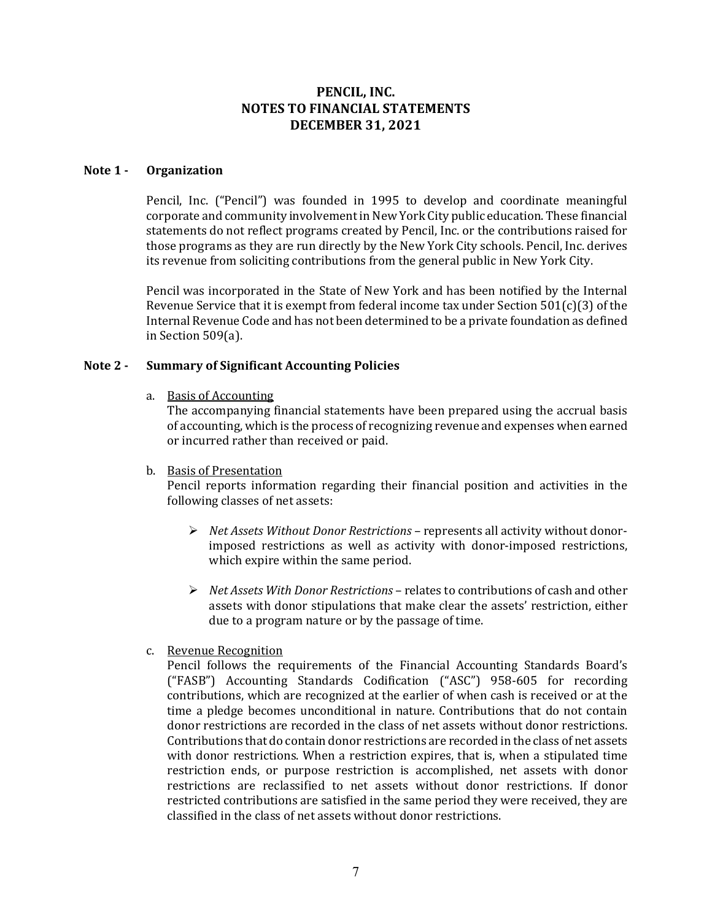## **PENCIL, INC. NOTES TO FINANCIAL STATEMENTS DECEMBER 31, 2021**

#### **Note 1 ‐ Organization**

Pencil, Inc. ("Pencil") was founded in 1995 to develop and coordinate meaningful corporate and community involvement in New York City public education. These financial statements do not reflect programs created by Pencil, Inc. or the contributions raised for those programs as they are run directly by the New York City schools. Pencil, Inc. derives its revenue from soliciting contributions from the general public in New York City.

Pencil was incorporated in the State of New York and has been notified by the Internal Revenue Service that it is exempt from federal income tax under Section  $501(c)(3)$  of the Internal Revenue Code and has not been determined to be a private foundation as defined in Section 509(a).

### **Note 2 ‐ Summary of Significant Accounting Policies**

a. Basis of Accounting

The accompanying financial statements have been prepared using the accrual basis of accounting, which is the process of recognizing revenue and expenses when earned or incurred rather than received or paid.

### b. Basis of Presentation

Pencil reports information regarding their financial position and activities in the following classes of net assets:

- *Net Assets Without Donor Restrictions* represents all activity without donorimposed restrictions as well as activity with donor-imposed restrictions, which expire within the same period.
- *Net Assets With Donor Restrictions* relates to contributions of cash and other assets with donor stipulations that make clear the assets' restriction, either due to a program nature or by the passage of time.
- c. Revenue Recognition

Pencil follows the requirements of the Financial Accounting Standards Board's ("FASB") Accounting Standards Codification ("ASC") 958-605 for recording contributions, which are recognized at the earlier of when cash is received or at the time a pledge becomes unconditional in nature. Contributions that do not contain donor restrictions are recorded in the class of net assets without donor restrictions. Contributions that do contain donor restrictions are recorded in the class of net assets with donor restrictions. When a restriction expires, that is, when a stipulated time restriction ends, or purpose restriction is accomplished, net assets with donor restrictions are reclassified to net assets without donor restrictions. If donor restricted contributions are satisfied in the same period they were received, they are classified in the class of net assets without donor restrictions.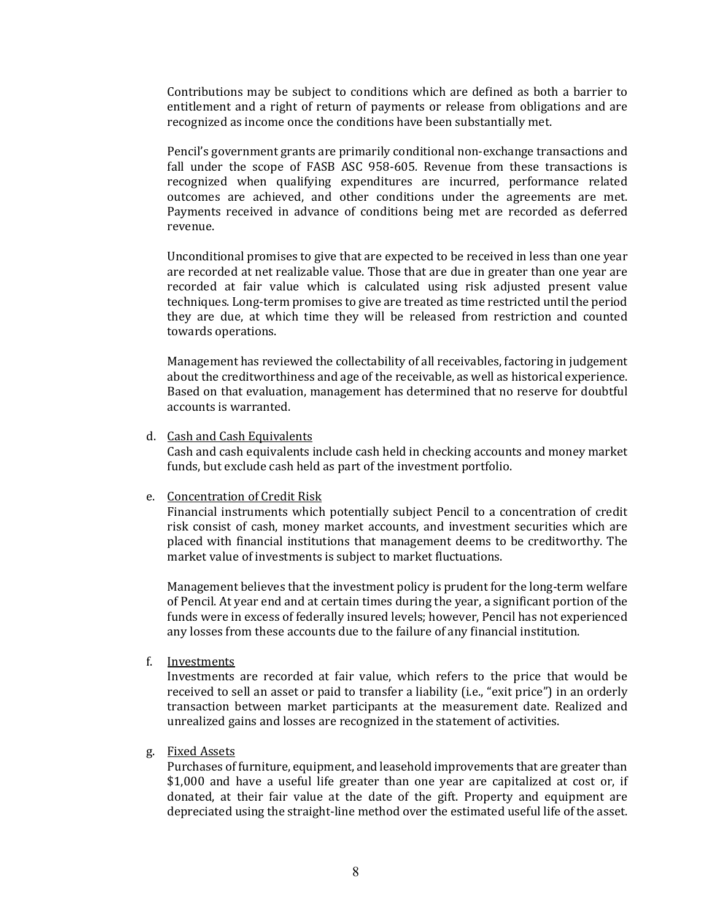Contributions may be subject to conditions which are defined as both a barrier to entitlement and a right of return of payments or release from obligations and are recognized as income once the conditions have been substantially met.

Pencil's government grants are primarily conditional non-exchange transactions and fall under the scope of FASB ASC 958-605*.* Revenue from these transactions is recognized when qualifying expenditures are incurred, performance related outcomes are achieved, and other conditions under the agreements are met. Payments received in advance of conditions being met are recorded as deferred revenue.

Unconditional promises to give that are expected to be received in less than one year are recorded at net realizable value. Those that are due in greater than one year are recorded at fair value which is calculated using risk adjusted present value techniques. Long-term promises to give are treated as time restricted until the period they are due, at which time they will be released from restriction and counted towards operations.

Management has reviewed the collectability of all receivables, factoring in judgement about the creditworthiness and age of the receivable, as well as historical experience. Based on that evaluation, management has determined that no reserve for doubtful accounts is warranted.

d. Cash and Cash Equivalents

Cash and cash equivalents include cash held in checking accounts and money market funds, but exclude cash held as part of the investment portfolio.

e. Concentration of Credit Risk

Financial instruments which potentially subject Pencil to a concentration of credit risk consist of cash, money market accounts, and investment securities which are placed with financial institutions that management deems to be creditworthy. The market value of investments is subject to market fluctuations.

Management believes that the investment policy is prudent for the long-term welfare of Pencil. At year end and at certain times during the year, a significant portion of the funds were in excess of federally insured levels; however, Pencil has not experienced any losses from these accounts due to the failure of any financial institution.

f. Investments

Investments are recorded at fair value, which refers to the price that would be received to sell an asset or paid to transfer a liability (i.e., "exit price") in an orderly transaction between market participants at the measurement date. Realized and unrealized gains and losses are recognized in the statement of activities.

g. Fixed Assets

Purchases of furniture, equipment, and leasehold improvements that are greater than \$1,000 and have a useful life greater than one year are capitalized at cost or, if donated, at their fair value at the date of the gift. Property and equipment are depreciated using the straight-line method over the estimated useful life of the asset.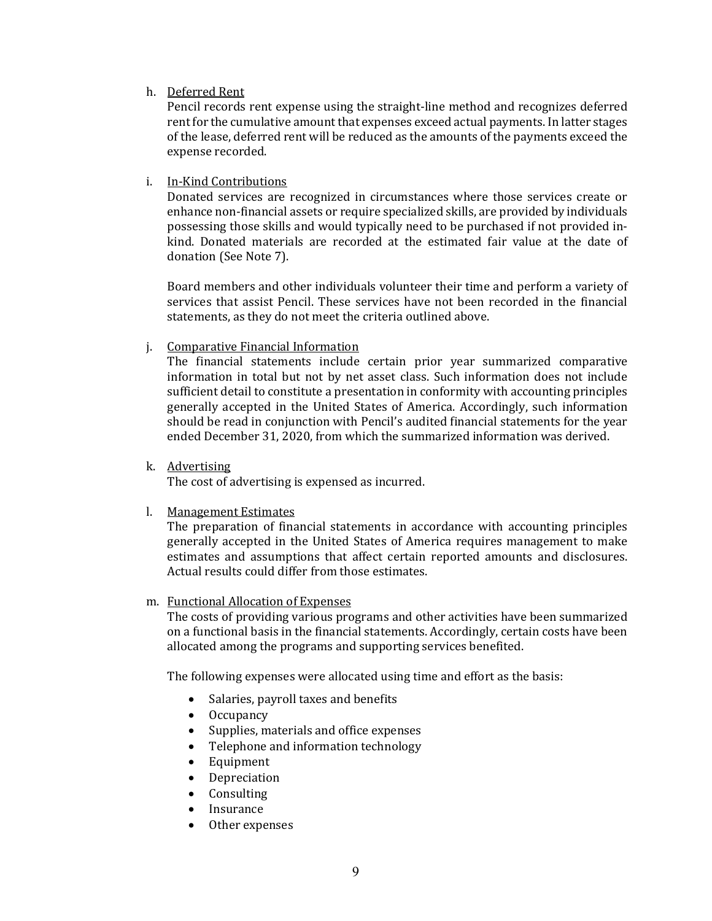## h. Deferred Rent

Pencil records rent expense using the straight-line method and recognizes deferred rent for the cumulative amount that expenses exceed actual payments. In latter stages of the lease, deferred rent will be reduced as the amounts of the payments exceed the expense recorded.

## i. In-Kind Contributions

Donated services are recognized in circumstances where those services create or enhance non-financial assets or require specialized skills, are provided by individuals possessing those skills and would typically need to be purchased if not provided inkind. Donated materials are recorded at the estimated fair value at the date of donation (See Note 7).

Board members and other individuals volunteer their time and perform a variety of services that assist Pencil. These services have not been recorded in the financial statements, as they do not meet the criteria outlined above.

j. Comparative Financial Information

The financial statements include certain prior year summarized comparative information in total but not by net asset class. Such information does not include sufficient detail to constitute a presentation in conformity with accounting principles generally accepted in the United States of America. Accordingly, such information should be read in conjunction with Pencil's audited financial statements for the year ended December 31, 2020, from which the summarized information was derived.

k. Advertising

The cost of advertising is expensed as incurred.

## l. Management Estimates

The preparation of financial statements in accordance with accounting principles generally accepted in the United States of America requires management to make estimates and assumptions that affect certain reported amounts and disclosures. Actual results could differ from those estimates.

## m. Functional Allocation of Expenses

The costs of providing various programs and other activities have been summarized on a functional basis in the financial statements. Accordingly, certain costs have been allocated among the programs and supporting services benefited.

The following expenses were allocated using time and effort as the basis:

- Salaries, payroll taxes and benefits
- Occupancy
- Supplies, materials and office expenses
- Telephone and information technology
- Equipment
- Depreciation
- Consulting
- Insurance
- Other expenses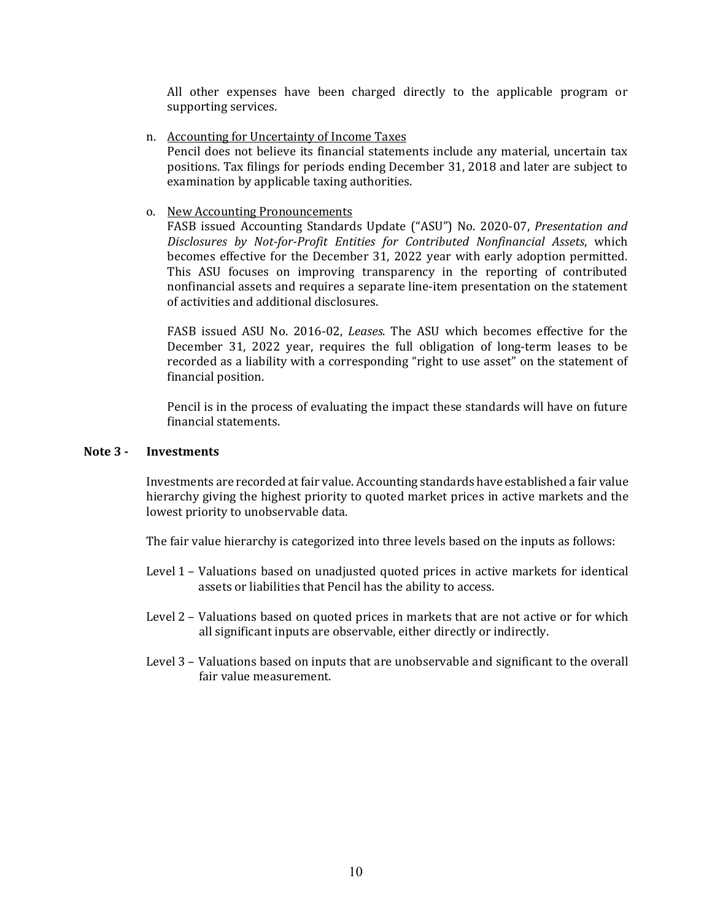All other expenses have been charged directly to the applicable program or supporting services.

n. Accounting for Uncertainty of Income Taxes Pencil does not believe its financial statements include any material, uncertain tax

positions. Tax filings for periods ending December 31, 2018 and later are subject to examination by applicable taxing authorities.

o. New Accounting Pronouncements

FASB issued Accounting Standards Update ("ASU") No. 2020-07, *Presentation and Disclosures by Not‐for‐Profit Entities for Contributed Nonfinancial Assets*, which becomes effective for the December 31, 2022 year with early adoption permitted. This ASU focuses on improving transparency in the reporting of contributed nonfinancial assets and requires a separate line-item presentation on the statement of activities and additional disclosures.

FASB issued ASU No. 2016-02, *Leases*. The ASU which becomes effective for the December 31, 2022 year, requires the full obligation of long-term leases to be recorded as a liability with a corresponding "right to use asset" on the statement of financial position.

Pencil is in the process of evaluating the impact these standards will have on future financial statements.

## **Note 3 ‐ Investments**

Investments are recorded at fair value. Accounting standards have established a fair value hierarchy giving the highest priority to quoted market prices in active markets and the lowest priority to unobservable data.

The fair value hierarchy is categorized into three levels based on the inputs as follows:

- Level 1 Valuations based on unadjusted quoted prices in active markets for identical assets or liabilities that Pencil has the ability to access.
- Level 2 Valuations based on quoted prices in markets that are not active or for which all significant inputs are observable, either directly or indirectly.
- Level 3 Valuations based on inputs that are unobservable and significant to the overall fair value measurement.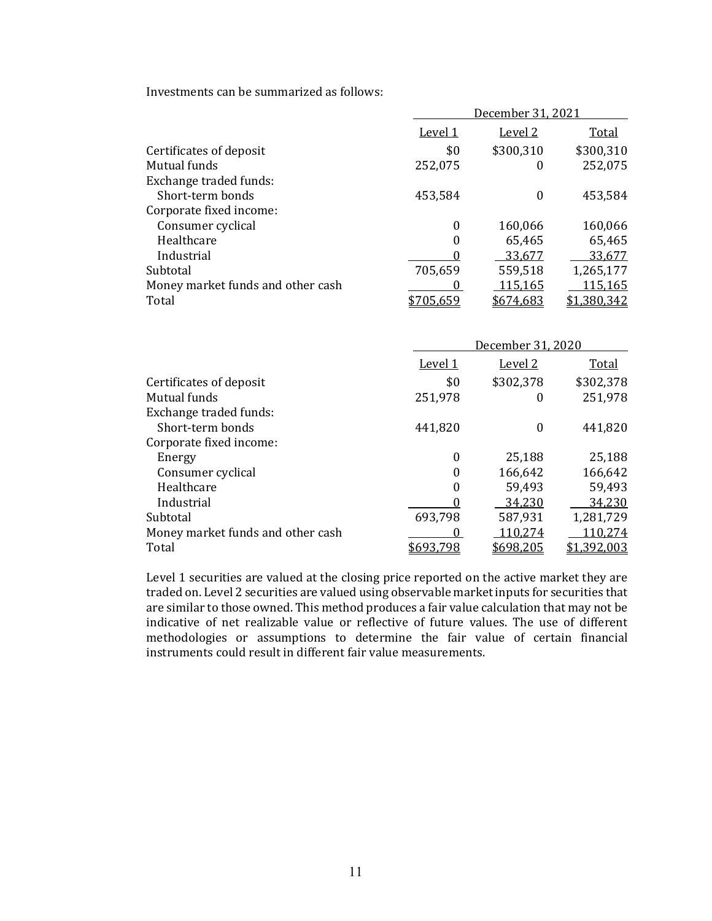Investments can be summarized as follows:

|                                   |           | December 31, 2021 |                |  |
|-----------------------------------|-----------|-------------------|----------------|--|
|                                   | Level 1   | <u>Level 2</u>    | Total          |  |
| Certificates of deposit           | \$0       | \$300,310         | \$300,310      |  |
| Mutual funds                      | 252,075   | O                 | 252,075        |  |
| Exchange traded funds:            |           |                   |                |  |
| Short-term bonds                  | 453,584   | $\theta$          | 453,584        |  |
| Corporate fixed income:           |           |                   |                |  |
| Consumer cyclical                 | $\theta$  | 160,066           | 160,066        |  |
| Healthcare                        | $\Omega$  | 65,465            | 65,465         |  |
| Industrial                        |           | 33,677            | 33,677         |  |
| Subtotal                          | 705,659   | 559,518           | 1,265,177      |  |
| Money market funds and other cash | 0         | 115,165           | <u>115,165</u> |  |
| Total                             | \$705,659 | \$674,683         | \$1,380,342    |  |

|                                   |         | December 31, 2020 |                    |  |
|-----------------------------------|---------|-------------------|--------------------|--|
|                                   | Level 1 | Level 2           | Total              |  |
| Certificates of deposit           | \$0     | \$302,378         | \$302,378          |  |
| Mutual funds                      | 251,978 | $\theta$          | 251,978            |  |
| Exchange traded funds:            |         |                   |                    |  |
| Short-term bonds                  | 441,820 | $\Omega$          | 441,820            |  |
| Corporate fixed income:           |         |                   |                    |  |
| Energy                            | 0       | 25,188            | 25,188             |  |
| Consumer cyclical                 | 0       | 166,642           | 166,642            |  |
| Healthcare                        | 0       | 59,493            | 59,493             |  |
| Industrial                        |         | 34,230            | 34,230             |  |
| Subtotal                          | 693,798 | 587,931           | 1,281,729          |  |
| Money market funds and other cash |         | 110,274           | 110,274            |  |
| Total                             | \$693.  | \$698,205         | <u>\$1,392,003</u> |  |

Level 1 securities are valued at the closing price reported on the active market they are traded on. Level 2 securities are valued using observable market inputs for securities that are similar to those owned. This method produces a fair value calculation that may not be indicative of net realizable value or reflective of future values. The use of different methodologies or assumptions to determine the fair value of certain financial instruments could result in different fair value measurements.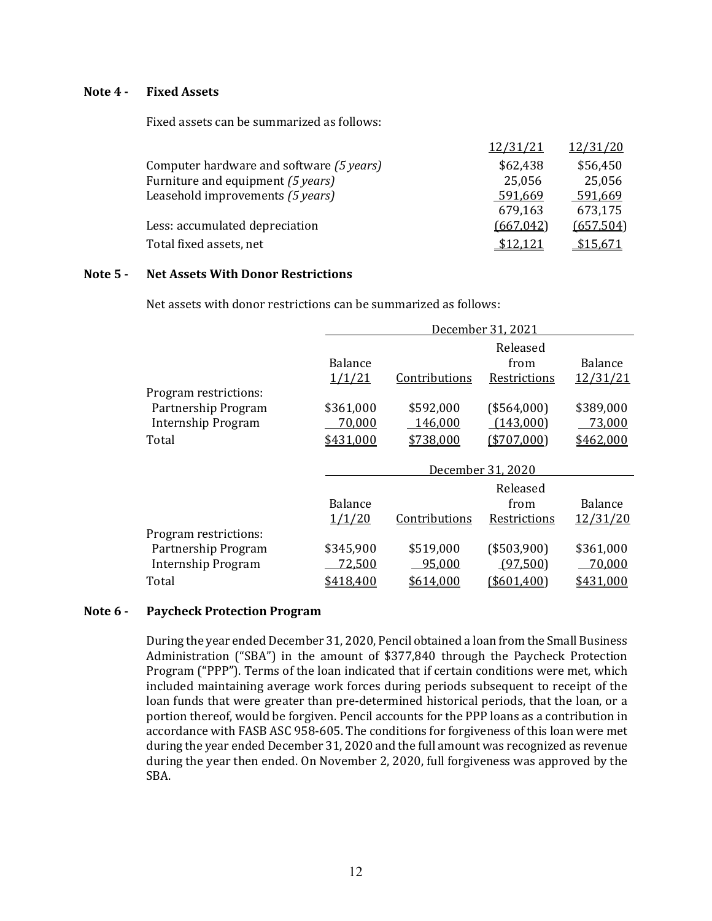#### **Note 4 ‐ Fixed Assets**

Fixed assets can be summarized as follows:

|                                          | 12/31/21   | 12/31/20   |
|------------------------------------------|------------|------------|
| Computer hardware and software (5 years) | \$62,438   | \$56,450   |
| Furniture and equipment (5 years)        | 25,056     | 25,056     |
| Leasehold improvements (5 years)         | 591,669    | 591,669    |
|                                          | 679,163    | 673,175    |
| Less: accumulated depreciation           | (667, 042) | (657, 504) |
| Total fixed assets, net                  |            | \$15.671   |

#### **Note 5 ‐ Net Assets With Donor Restrictions**

Net assets with donor restrictions can be summarized as follows:

|                       |                |               | December 31, 2021 |                |
|-----------------------|----------------|---------------|-------------------|----------------|
|                       |                |               | Released          |                |
|                       | <b>Balance</b> |               | from              | <b>Balance</b> |
|                       | 1/1/21         | Contributions | Restrictions      | 12/31/21       |
| Program restrictions: |                |               |                   |                |
| Partnership Program   | \$361,000      | \$592,000     | (\$564,000)       | \$389,000      |
| Internship Program    | 70,000         | 146,000       | (143,000)         | 73,000         |
| Total                 | \$431,000      | \$738,000     | ( \$707,000]      | \$462,000      |
|                       |                |               |                   |                |
|                       |                |               | December 31, 2020 |                |
|                       |                |               | Released          |                |
|                       | <b>Balance</b> |               | from              | <b>Balance</b> |
|                       | 1/1/20         | Contributions | Restrictions      | 12/31/20       |
| Program restrictions: |                |               |                   |                |
| Partnership Program   | \$345,900      | \$519,000     | (\$503,900)       | \$361,000      |
| Internship Program    | 72,500         | 95,000        | (97,500)          | 70,000         |
| Total                 | \$418,400      | \$614,000     | ( \$601,400]      | \$431,000      |

#### **Note 6 ‐ Paycheck Protection Program**

During the year ended December 31, 2020, Pencil obtained a loan from the Small Business Administration ("SBA") in the amount of \$377,840 through the Paycheck Protection Program ("PPP"). Terms of the loan indicated that if certain conditions were met, which included maintaining average work forces during periods subsequent to receipt of the loan funds that were greater than pre-determined historical periods, that the loan, or a portion thereof, would be forgiven. Pencil accounts for the PPP loans as a contribution in accordance with FASB ASC 958-605. The conditions for forgiveness of this loan were met during the year ended December 31, 2020 and the full amount was recognized as revenue during the year then ended. On November 2, 2020, full forgiveness was approved by the SBA.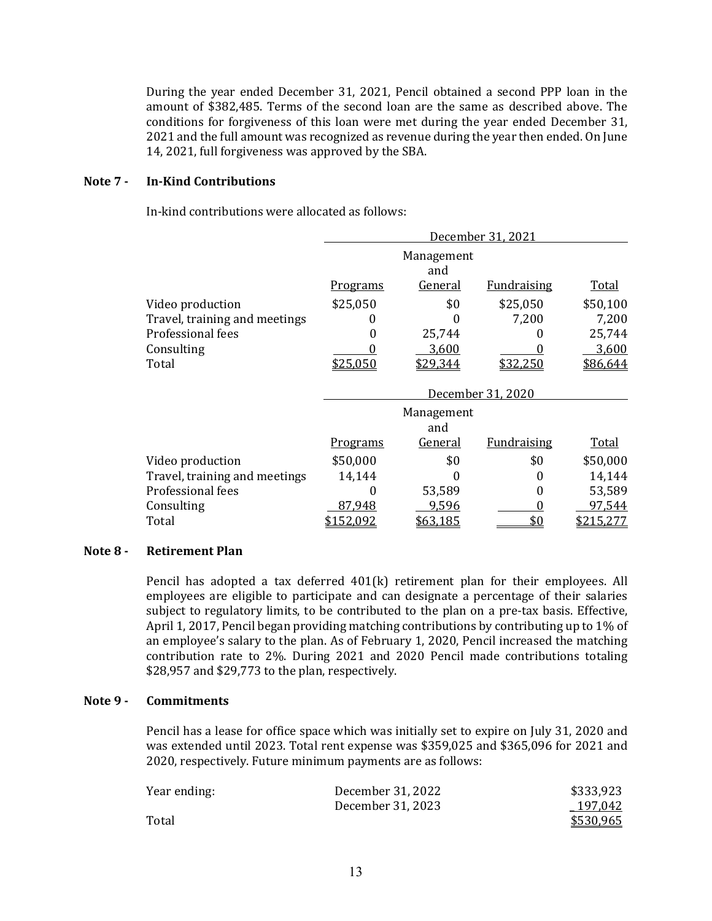During the year ended December 31, 2021, Pencil obtained a second PPP loan in the amount of \$382,485. Terms of the second loan are the same as described above. The conditions for forgiveness of this loan were met during the year ended December 31, 2021 and the full amount was recognized as revenue during the year then ended. On June 14, 2021, full forgiveness was approved by the SBA.

## **Note 7 ‐ In‐Kind Contributions**

In-kind contributions were allocated as follows:

|                               |                 |                   | December 31, 2021  |                  |
|-------------------------------|-----------------|-------------------|--------------------|------------------|
|                               |                 | Management<br>and |                    |                  |
|                               | <u>Programs</u> | <b>General</b>    | <u>Fundraising</u> | <b>Total</b>     |
| Video production              | \$25,050        | \$0               | \$25,050           | \$50,100         |
| Travel, training and meetings | 0               | 0                 | 7,200              | 7,200            |
| Professional fees             |                 | 25,744            |                    | 25,744           |
| Consulting                    |                 | 3,600             |                    | 3,600            |
| Total                         | \$25,050        | \$29,344          | \$32,250           | <u>\$86,644</u>  |
|                               |                 |                   | December 31, 2020  |                  |
|                               |                 | Management<br>and |                    |                  |
|                               | <u>Programs</u> | General           | <b>Fundraising</b> | <b>Total</b>     |
| Video production              | \$50,000        | \$0               | \$0                | \$50,000         |
| Travel, training and meetings | 14,144          | 0                 | 0                  | 14,144           |
| Professional fees             | 0               | 53,589            | 0                  | 53,589           |
| Consulting                    | 87,948          | 9,596             |                    | 97,544           |
| Total                         | \$152,092       | \$63,185          | \$0                | <u>\$215,277</u> |

### **Note 8 ‐ Retirement Plan**

Pencil has adopted a tax deferred 401(k) retirement plan for their employees. All employees are eligible to participate and can designate a percentage of their salaries subject to regulatory limits, to be contributed to the plan on a pre-tax basis. Effective, April 1, 2017, Pencil began providing matching contributions by contributing up to 1% of an employee's salary to the plan. As of February 1, 2020, Pencil increased the matching contribution rate to 2%. During 2021 and 2020 Pencil made contributions totaling \$28,957 and \$29,773 to the plan, respectively.

### **Note 9 ‐ Commitments**

Pencil has a lease for office space which was initially set to expire on July 31, 2020 and was extended until 2023. Total rent expense was \$359,025 and \$365,096 for 2021 and 2020, respectively. Future minimum payments are as follows:

| Year ending: | December 31, 2022 | \$333,923 |
|--------------|-------------------|-----------|
|              | December 31, 2023 | 197,042   |
| Total        |                   | \$530,965 |